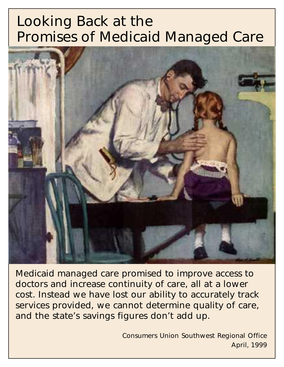# Looking Back at the Promises of Medicaid Managed Care



Medicaid managed care promised to improve access to doctors and increase continuity of care, all at a lower cost. Instead we have lost our ability to accurately track services provided, we cannot determine quality of care, and the state's savings figures don't add up.

> Consumers Union Southwest Regional Office April, 1999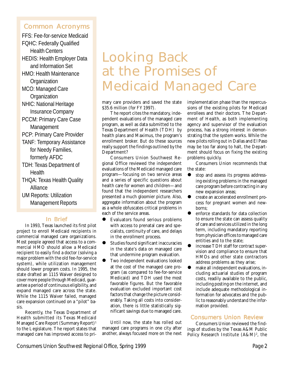# Common Acronyms Common Acronyms

FFS: Fee-for-service Medicaid FQHC: Federally Qualified Health Centers HEDIS: Health Employer Data and Information Set HMO: Health Maintenance **Organization** MCO: Managed Care **Organization** NHIC: National Heritage Insurance Company PCCM: Primary Care Case **Management** PCP: Primary Care Provider TANF: Temporary Assistance for Needy Families, formerly AFDC TDH: Texas Department of **Health** THQA: Texas Health Quality Alliance UM Reports: Utilization Management Reports

## In Brief

In 1993, Texas launched its first pilot project to enroll Medicaid recipients in commercial managed care organizations. Most people agreed that access to a commercial HMO should allow a Medicaid recipient to easily find a doctor (solving a major problem with the old fee-for-service system), while utilization management should lower program costs. In 1995, the state drafted an 1115 Waiver designed to cover more people through Medicaid, guarantee a period of continuous eligibility, and expand managed care across the state. While the 1115 Waiver failed, managed care expansion continued on a "pilot" basis.

Recently, the Texas Department of Health submitted its Texas Medicaid Managed Care Report (Summary Report)1 to the Legislature. The report states that managed care has improved access to pri-

# Looking Back at the Promises of Medicaid Managed Care

mary care providers and saved the state \$35.6 million (for FY 1997).

The report cites the mandatory, independent evaluations of the managed care program, as well as data submitted to the Texas Department of Health (TDH) by health plans and Maximus, the program's enrollment broker. But do these sources really support the findings outlined by the Department?

Consumers Union Southwest Regional Office reviewed the independent evaluations of the Medicaid managed care program—focusing on two service areas and a series of specific questions about health care for women and children—and found that the independent researchers presented a much gloomier picture. Also, aggregate information about the program as a whole obfuscates critical problems in each of the service areas.

- Evaluators found serious problems with access to prenatal care and specialists, continuity of care, and delays in the enrollment process.
- Studies found significant inaccuracies in the state's data on managed care that undermine program evaluation.
- Two independent evaluations looked at the cost of the managed care program (as compared to fee-for-service Medicaid) and TDH used the most favorable figures. But the favorable evaluation excluded important cost factors that change the picture considerably. Taking all costs into consideration, there is little statistically significant savings due to managed care.

Until now, the state has rolled out managed care programs in one city after another, always focused more on the next implementation phase than the repercussions of the existing pilots for Medicaid enrollees and their doctors. The Department of Health, as both implementing agency and supervisor of the evaluation process, has a strong interest in demonstrating that the system works. While the new pilots rolling out in Dallas and El Paso may be too far along to halt, the Department should focus on fixing the existing problems quickly.

Consumers Union recommends that the state:

- stop and assess its progress addressing existing problems in the managed care program before contracting in any new expansion areas;
- create an accelerated enrollment process for pregnant women and newborns;
- enforce standards for data collection to ensure the state can assess quality of care and services utilized in the long term, including mandatory reporting from physician offices to managed care entities and to the state;
- increase TDH staff for contract supervision and compliance to ensure that HMOs and other state contractors address problems as they arise;
- $\bullet$  make all independent evaluations, including actuarial studies of program costs, readily available to the public, including posting on the internet, and include adequate methodological information for advocates and the public to reasonably understand the information provided.

# Consumers Union Review

Consumers Union reviewed the findings of studies by the Texas A&M Public Policy Research Institute (A&M)<sup>2</sup>, the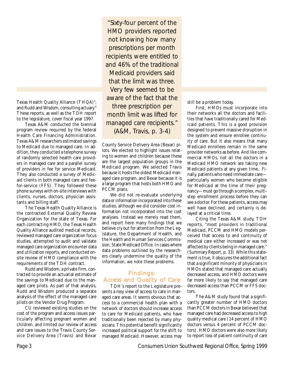Texas Health Quality Alliance (THQA)<sup>3</sup>, and Rudd and Wisdom, consulting actuary.4 These reports, as well as the TDH report to the legislature, cover fiscal year 1997.

Texas A&M conducted the biennial program review required by the federal Health Care Financing Administration. Texas A&M researchers estimated savings to Medicaid due to managed care. In addition, they conducted a telephone survey of randomly selected health care providers in managed care and a parallel survey of providers in fee for service Medicaid. They also conducted a survey of Medicaid clients in both managed care and feefor-service (FFS). They followed these phone surveys with on-site interviews with clients, nurses, doctors, physician assistants and billing staff.

The Texas Health Quality Alliance is the contracted External Quality Review Organization for the state of Texas. For each contracting HMO, the Texas Health Quality Alliance audited medical records, reviewed managed care organization focus studies, attempted to audit and validate managed care organization encounter data and utilization reports, and conducted onsite review of HMO compliance with the requirements of the TDH contract.

Rudd and Wisdom, a private firm, contracted to provide an actuarial estimate of the savings to Medicaid due to the managed care pilots. As part of that analysis, Rudd and Wisdom produced a separate analysis of the effect of the managed care pilots on the Vendor Drug Program.

CU reviewed existing studies on the cost of the program and access issues particularly affecting pregnant women and children, and limited our review of access and care issues to the Travis County Service Delivery Area (Travis) and Bexar

"Sixty-four percent of the HMO providers reported not knowing how many prescriptions per month recipients were entitled to and 46% of the traditional Medicaid providers said that the limit was three. Very few seemed to be aware of the fact that the three prescription per month limit was lifted for managed care recipients." (A&M, Travis, p. 3-4)

County Service Delivery Area (Bexar) pilots. We elected to highlight issues relating to women and children because these are the largest population groups in the Medicaid program. We selected Travis because it hosts the oldest Medicaid managed care program, and Bexar because it is a large program that hosts both HMO and PCCM plans.

We did not re-evaluate underlying data or information incorporated into these studies, although we did consider cost information not incorporated into the cost analyses. Instead we merely read them, and report here many findings that we believe cry out for attention from the Legislature, the Department of Health, and the Health and Human Services Commission, State Medicaid Office. In cases where data problems outlined by the researchers clearly undermine the quality of the information, we note these problems.

## Findings: Access and Quality of Care

TDH's report to the Legislature presents a rosy view of access to care in managed care areas. It seems obvious that access to a commercial health plan with a network of doctors should increase access to care for Medicaid patients, who have traditionally been rejected by many physicians. This potential benefit significantly increased political support for the shift to managed Medicaid. However, access may still be a problem today.

First, HMOs must incorporate into their networks all the doctors and facilities that have traditionally cared for Medicaid patients. This is a good provision designed to prevent massive disruption in the system and ensure enrollee continuity of care. But it also means that many Medicaid enrollees remain in the same provider networks as before. And like commercial HMOs, not all the doctors in a Medicaid HMO network are taking new Medicaid patients at any given time. Finally, patients who need immediate care particularly women who become eligible for Medicaid at the time of their pregnancy—must go through a complex, multistep enrollment process before they can see a doctor. For these patients, access may well have declined, and certainly is delayed at a critical time.

Citing the Texas A&M study, TDH reports, "most providers in traditional Medicaid, PCCM and HMO models perceived that access to and continuity of medical care either increased or was not affected by clients being in managed care." (Summary Report, p. 33) While this statement is true, it obscures the additional fact that a significant minority of physicians in HMOs stated that managed care actually decreased access, and HMO doctors were far more likely to say that managed care decreased access than PCCM or FFS doctors.

The A&M study found that a significantly greater number of HMO doctors than PCCM doctors in Bexar believed that managed care had decreased access to high quality medical care (14 percent of HMO doctors versus 4 percent of PCCM doctors). HMO doctors were also more likely to report loss of patient continuity of care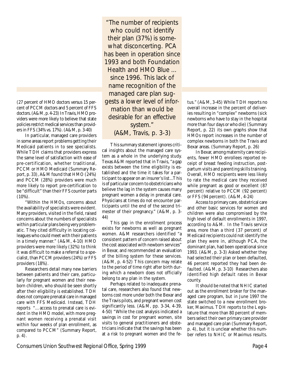(27 percent of HMO doctors versus 15 percent of PCCM doctors and 5 percent of FFS doctors. (A&M, p. 4-23) In Travis, HMO providers were more likely to believe that state policies restrict medical services than providers in FFS (34% vs. 17%). (A&M, p. 3-40)

In particular, managed care providers in some areas report problems getting their Medicaid patients in to see specialists. While TDH claims that providers express the same level of satisfaction with ease of pre-certification, whether traditional, PCCM or HMO Medicaid (Summary Report, p. 33), A&M found that HMO (24%) and PCCM (28%) providers were much more likely to report pre-certification to be "difficult" than their FFS counter parts  $(10\%)$ .

"Within the HMOs, concerns about the availability of specialists were evident. Many providers, visited in the field, raised concerns about the numbers of specialists within particular plans being very problematic. They cited difficulty in locating colleagues who could meet with their patients in a timely manner." (A&M, 4-10) HMO providers were more likely (32%) to think it was difficult to make a referral to a specialist, than PCCM providers (24%) or FFS providers (18%).

Researchers detail many new barriers between patients and their care, particularly for pregnant women and their newborn children, who should be seen shortly after their eligibility is established. TDH does not compare prenatal care in managed care with FFS Medicaid. Instead, TDH reports "…access to prenatal care is evident in the HMO model, with more pregnant women receiving a prenatal visit within four weeks of plan enrollment, as compared to PCCM" (Summary Report, p. 4).

"The number of recipients who could not identify their plan (37%) is somewhat disconcerting. PCA has been in operation since 1993 and both Foundation Health and HMO Blue ... since 1996. This lack of name recognition of the managed care plan suggests a lower level of information than would be desirable for an effective system." (A&M, Travis, p. 3-3)

This summary statement ignores critical insights about the managed care system as a whole in the underlying study. Texas A&M reported that in Travis, "a gap exists between the time eligibility is established and the time it takes for a participant to appear on an insurer's list...This is of particular concern to obstetricians who believe the lag in the system causes many pregnant women a delay in prenatal care. Physicians at times do not encounter participants until the end of the second trimester of their pregnancy." (A&M, p. 3- 44)

This gap in the enrollment process exists for newborns as well as pregnant women. A&M researchers identified "a consistent pattern of concern raised about the cost associated with newborn services" in Bexar, and recommended an evaluation of the billing system for these services. (A&M, p. 4-52) This concern may relate to the period of time right after birth during which a newborn does not officially belong to any plan in the system.

Perhaps related to inadequate prenatal care, researchers also found that newborns cost more under both the Bexar and the Travis pilots, and pregnant women cost significantly less. (A&M, pp. 3-34, 4-39, 4-50) "While the cost analysis indicated a savings in cost for pregnant women, site visits to general practitioners and obstetricians indicate that the savings has been at a risk to pregnant women and the fetus." (A&M, 3-45) While TDH reports no overall increase in the percent of deliveries resulting in "complex" newborns (sick newborns who have to stay in the hospital more than four days or who die) (Summary Report, p. 22) its own graphs show that HMOs report increases in the number of complex newborns in both the Travis and Bexar areas. (Summary Report, p. 26)

In Bexar, among maternity care recipients, fewer HMO enrollees reported receipt of breast feeding instruction, postpartum visits and parenting skills training. Overall, HMO recipients were less likely to rate the medical care they received while pregnant as good or excellent (87 percent) relative to PCCM (92 percent) or FFS (94 percent). (A&M, 4-24)

Access to primary care, obstetrical care and other basic services for women and children were also compromised by the high level of default enrollments in 1997, according to A&M. In the Travis service area, more than a third (37 percent) of Medicaid recipients could not identify the plan they were in, although PCA, the dominant plan, had been operational since 1993. (A&M, p. 3-3) Asked whether they had selected their plan or been defaulted, 46 percent reported they had been defaulted. (A&M, p. 3-10) Researchers also identified high default rates in Bexar county.

It should be noted that NHIC started out as the enrollment broker for the managed care program, but in June 1997 the state switched to a new enrollment broker, Maximus. TDH reports to the Legislature that more than 80 percent of members select their own primary care provider and managed care plan (Summary Report, p. 4), but it is unclear whether this number refers to NHIC or Maximus results.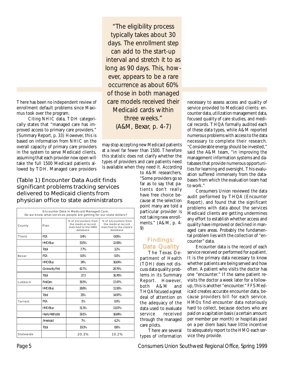There has been no independent review of enrollment default problems since Maximus took over the program.

 Citing NHIC data, TDH categorically states that "managed care has improved access to primary care providers." (Summary Report, p. 33) However, this is based on information from NHIC on the overall capacity of primary care providers in the system to serve Medicaid clients, assuming that each provider now open will take the full 1500 Medicaid patients allowed by TDH. Managed care providers

(Table 1) Encounter Data Audit finds significant problems tracking services delivered to Medicaid clients from physician office to state administrators

Encounter Data in Medicaid Managed Care: Do we know what services people are getting for our state dollars? County Plan % of encounters from the medical record matched to the HMO database % of encounters from the medical record matched to the state's database  $\begin{array}{ccc} \text{Travis} & \text{PCA} & \text{O.4\%} \\ \end{array}$ HMO Blue 20.5% and 12.99% T % otal 7 % .7 3.2 Bexar | PCA | 0.0% | 0.0% HMO Blue 234% 16.64% Community First | 42.7% | 28.75% Total 16.76% Lubbock | FirstCare | 36.5% | 17.47% HMO Blue 28.8% and 11.93% Total 14.97% 33% 14.97%  $\begin{array}{ccc} \text{Tarrant} & \text{PEA} & \text{1\%} & \text{1\%} \end{array}$  0.0% HMO Blue 231.3% and 31.3 html Harris Methodist 16.84% Americaid 19% 7% | 4.2% Total 19.3% | 8.6% Statewide | 20.3% | 10.2%

"The eligibility process typically takes about 30 days. The enrollment step can add to the start-up interval and stretch it to as long as 90 days. This, however, appears to be a rare occurrence as about 60% of those in both managed care models received their Medicaid cards within three weeks." (A&M, Bexar, p. 4-7)

may stop accepting new Medicaid patients at a level far fewer than 1500. Therefore this statistic does not clarify whether the types of providers and care patients need is available when they need it. According

to A&M researchers, "Some providers go so far as to say that patients don't really have free choice because at the selection point many are told a particular provider is not taking new enrollments." (A&M, p. 4- 9)

## Findings: Data Quality

The Texas Department of Health (TDH) does not discuss data quality problems in its Summary Report. However, both A&M and THQA focused a great deal of attention on the adequacy of the data used to evaluate service received through the managed care pilots.

There are several types of information necessary to assess access and quality of service provided to Medicaid clients: encounter data, utilization management data, focused quality of care studies, and medical records. THQA formally audited each of these data types, while A&M reported numerous problems with access to the data necessary to complete their research. "Considerable energy should be invested," said the A&M team, "in improving the management information systems and databases that provide numerous opportunities for learning and oversight. This evaluation suffered immensely from the databases from which the evaluation team had to work."

Consumers Union reviewed the data audit performed by THQA (Encounter Report), and found that the significant problems with data about the services Medicaid clients are getting undermines any effort to establish whether access and quality have improved or declined in managed care areas. Probably the fundamental problem lies with the collection of "encounter" data.

Encounter data is the record of each service received or performed for a patient. It is the primary data necessary to know whether patients are being served and how often. A patient who visits the doctor has one "encounter." If the same patient revisits the doctor a week later for a followup, this is another "encounter." FFS Medicaid creates accurate encounter data, because providers bill for each service. HMOs find encounter data notoriously hard to collect, because doctors who are paid on a capitation basis (a certain amount per member per month) or hospitals paid on a per diem basis have little incentive to adequately report to the HMO each service they provide.

Page 5 Consumers Union Southwest Regional Office, Spring 1999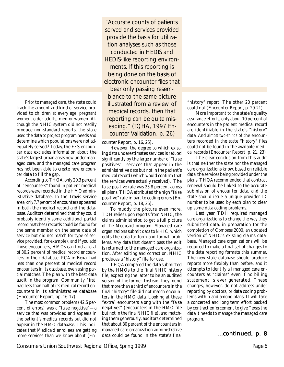Prior to managed care, the state could track the amount and kind of service provided to children at every age, pregnant women, older adults, men or women. Although the NHIC system did not readily produce non-standard reports, the state used the data to project program needs and determine which populations were not adequately served.5 Today, the FFS encounter data excludes information about the state's largest urban areas now under managed care, and the managed care program has not been able to create new encounter data to fill the gap.

According to THQA, only 20.3 percent of "encounters" found in patient medical records were recorded in the HMO administrative database. In the Travis service area, only 7.7 percent of encounters appeared in both the medical record and the database. Auditors determined that they could probably identify some additional partial record matches (records could be found for the same member on the same date of service but did not match for type of service provided, for example), and if you add those encounters, HMOs can find a total of 30.2 percent of medical record encounters in their database. PCA in Bexar had less than one percent of medical record encounters in its database, even using partial matches. The plan with the best data audit in the program, Community First, had less than half of its medical record encounters in its administrative database (Encounter Report, pp. 16-17).

The most common problem (42.5 percent of errors) was a "false negative"—a service that was provided and appears in the patient's medical records but did not appear in the HMO database. This indicates that Medicaid enrollees are getting more services than we know about (En-

"Accurate counts of patients served and services provided provide the basis for utilization analyses such as those conducted in HEDIS and HEDIS-like reporting environments. If this reporting is being done on the basis of electronic encounter files that bear only passing resemblance to the same picture illustrated from a review of medical records, then that reporting can be quite misleading." (TQHA, 1997 Encounter Validation, p. 26)

counter Report, p. 16, 25).

However, the degree to which existing data underestimates services is reduced significantly by the large number of "false positives"—services that appear in the administrative data but not in the patient's medical record (which would confirm that the services were actually received). The false positive rate was 23.8 percent across all plans. THQA attributed the high "false positive" rate in part to coding errors (Encounter Report, p. 18, 25).

To muddy the picture even more, TDH relies upon reports from NHIC, the claims administrator, to get a full picture of the Medicaid program. Managed care organizations submit data to NHIC, which edits the data for form and format problems. Any data that doesn't pass the edit is returned to the managed care organization. After editing and correction, NHIC produces a "history" file for use.

THQA compared the data submitted by the HMOs to the final NHIC history file, expecting the latter to be an audited version of the former. Instead, they found that more than a third of encounters in the final "history" file did not match encounters in the HMO data. Looking at these "extra" encounters along with the "false negatives" (encounters in the HMO file but not in the final NHIC file), and matching them generously, auditors determined that about 80 percent of the encounters in managed care organization administrative data could be found in the state's final "history" report. The other 20 percent could not (Encounter Report, p. 20-21).

More important to the state's quality assurance efforts, only about 10 percent of encounters in the patient medical record are identifiable in the state's "history" data. And almost two-thirds of the encounters recorded in the state "history" files could not be found in the available medical records (Encounter Report, p. 21, 23)

The clear conclusion from this audit is that neither the state nor the managed care organizations know, based on reliable data, the services being provided under the plans. THQA recommended that contract renewal should be linked to the accurate submission of encounter data, and the state should issue a unique provider ID number to be used by each plan to clear up some data coding problems.

Last year, TDH required managed care organizations to change the way they submitted data, in preparation for the completion of Compass 2000, an updated version of NHIC's existing claims database. Managed care organizations will be required to make a final set of changes to the data reporting formats this summer. The new state database should produce reports more flexibly than before, and it attempts to identify all managed care encounters as "claims" even if no billing statement is ever generated. These changes, however, do not address under reporting by doctors, or data coding problems within and among plans. It will take a concerted and long term effort backed by contract enforcement to give Texas the data it needs to manage the managed care program.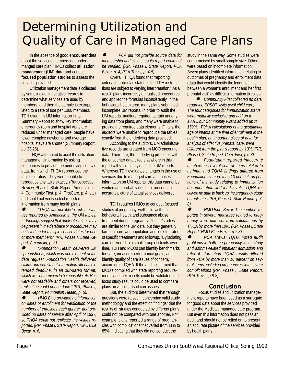# Determining Utilization and Quality of Care in Managed Care Plans

In the absence of good **encounter** data about the services members get under a manged care plan, HMOs collect **utilization management (UM) data** and conduct **focused population studies** to assess the services provided.

Utilization management data is collected by sampling administrative records to determine what services are used by members, and then the sample is extrapolated to a rate of use per 1000 members. TDH used this UM information in its Summary Report to show key information: emergency room and hospital visits are reduced under managed care, people have fewer complex newborns and average hospital stays are shorter (Summary Report, pp 23-26).

THQA attempted to audit the utilization management information by asking companies to provide the underlying source data, from which THQA reproduced the tables of ratios. They were unable to reproduce any table exactly, (Retrospective Review, Phase I, State Report, Americaid, p. 4, Community First, p. 4, FirstCare, p. 4, etc) and could not verify select reported information from many health plans.

 $\bullet$  *"THQA was not able to replicate values reported by Americaid in the UM tables. … Findings suggest that duplicate values may be present in the database or procedures may be listed under multiple service dates for one or more members." (RR, Phase I, State Report, Americaid, p. 5).*

 $\bullet$  *"Foundation Health delivered UM spreadsheets, which was one element of the data request. Foundation Health delivered claims and enrollment information after an extended deadline, in an out-dated format, which was determined to be unusable. As files were not readable and others not received, replication could not be done." (RR, Phase I, State Report, Foundation Health, p. 5).*

 $\bullet$  *HMO Blue provided no information on dates of enrollment for verification of the numbers of enrollees each quarter, and provided no dates of service after April of 1997, so THQA could not replicate the values reported. (RR, Phase I, State Report, HMO Blue Bexar, p. 6)*

 $\bullet$  *PCA did not provide source data for membership and claims, so its report could not be verified. (RR, Phase I, State Report, PCA Bexar, p. 4, PCA Travis, p. 4-5).*

Overall, THQA found that "reporting criteria for formulas stated in the TDH instructions are subject to varying interpretation." As a result, plans incorrectly annualized procedures and applied the formulas inconsistently. In the behavioral health area, many plans submitted incomplete UM reports. In order to audit the UM reports, auditors required certain underlying data from plans, and many were unable to provide the required data elements. Finally, the auditors were unable to reproduce the tables exactly from the underlying data provided.

According to the auditors, UM administrative records are created from MCO encounter data. Therefore, the underlying problems with the encounter data cited elsewhere in this report will significantly effect the UM reports. Wherever TDH evaluates changes in the use of services due to managed care and bases its information on UM reports, this data cannot be verified and probably does not present an accurate picture of actual services delivered.

TDH requires HMOs to conduct focused studies of pregnancy, well child, asthma, behavioral health, and substance abuse treatment during pregnancy. These "studies" are similar to the UM data, but they generally target a narrower population and look for rates of specific treatments and followup. "By isolating care delivered to a small group of clients over time, TDH and MCOs can identify benchmarks for care, measure performance goals, and identify quality of care issues of concern," according to TQHA. If the audit confirmed that MCO's complied with state reporting requirements and their results could be validated, the focus study results could be used to compare plans on vital quality of care issues.

But, the auditors determined that "enough questions were raised ...concerning valid study methodology and the effect on findings" that the results of studies conducted by different plans could not be compared with one another. For example, plans reported a range of pregnancies with complications that varied from 11% to 85%, indicating that they did not conduct the

study in the same way. Some studies were compromised by small sample size. Others were based on incomplete information. Seven plans identified information relating to outcomes of pregnancy and enrollment data (data that would identify the length of time between a woman's enrollment and her first prenatal visit) as difficult information to collect.

l *Community First collected no data regarding EPSDT visits (well child care). The four categories for immunization status were mutually exclusive and add up to 100%, but Community First's added up to 159%. TQHA calculations of the gestational age of infants at the time of enrollment in the health plan, an important piece of data for analysis of effective prenatal care, were different from the plan's report by 10%. (RR, Phase I, State Report, Com. First, p.6-8)*

 $\bullet$  *Foundation reported inaccurate numbers in several sets of items related to asthma, and TQHA findings differed from Foundation by more than 10 percent on portions of the study relating to immunization documentation and lead levels. TQHA received no data to back up the pregnancy study or replicate it.(RR, Phase 1, State Report, p.7- 8)*

 $\bullet$  *HMO Blue, Bexar: The numbers reported in several measures related to pregnancy were different from calculations by THQA by more than 10%. (RR, Phase I, State Report, HMO Blue Bexar, p.7-8)*

 $\bullet$  *PCA Travis: TQHA noted audit problems in both the pregnancy focus study and asthma-related inpatient admission and referral information. TQHA results differed from PCA by more than 10 percent on several items, including pregnancies with severe complications (RR, Phase I, State Report, PCA Travis, p.6-8).*

#### Conclusion

Focus studies and utilization management reports have been used as a surrogate for good data about the services provided under the Medicaid managed care program. But even this information does not pass an audit and should not be relied on to present an accurate picture of the services provided by health plans.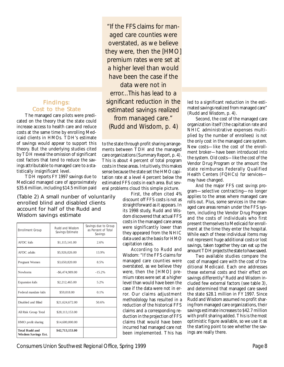### Findings: Cost to the State

The managed care pilots were predicated on the theory that the state could increase access to health care and reduce costs at the same time by enrolling Medicaid clients in HMOs. TDH's estimate of savings would appear to support this theory. But the underlying studies cited by TDH reveal the omission of significant cost factors that tend to reduce the savings attributable to managed care to a statistically insignificant level.

TDH reports FY 1997 savings due to Medicaid managed care of approximately \$35.6 million, including \$14.5 million paid

(Table 2) A small nunber of voluntarily enrolled blind and disabled clients account for half of the Rudd and Wisdom savings estimate

| <b>Enrollment Group</b>                             | Rudd and Wisdom<br>Savings Estimate | Savings due to Group<br>as Percent of Total<br>Savings |
|-----------------------------------------------------|-------------------------------------|--------------------------------------------------------|
| <b>AFDC</b> kids                                    | \$1,115,141.00                      | 2.6%                                                   |
| AFDC adults                                         | \$5,926,026.00                      | 13.9%                                                  |
| Pregnant Women                                      | \$3,650,820.00                      | 8.5%                                                   |
| <b>Newborns</b>                                     | -\$6,474,989.00                     | $-15.2%$                                               |
| <b>Expansion</b> kids                               | \$2,212,465.00                      | 5.2%                                                   |
| Federal mandate kids                                | \$59,018.00                         | 0.1%                                                   |
| Disabled and Blind                                  | \$21,624,672.00                     | 50.6%                                                  |
| All Risk Group Total                                | \$28,113,153.00                     |                                                        |
| HMO profit sharing                                  | \$14,600,000.00                     |                                                        |
| <b>Total Rudd and</b><br><b>Wisdom Savings Est.</b> | \$42,713,153.00                     |                                                        |

"If the FFS claims for managed care counties were overstated, as we believe they were, then the [HMO] premium rates were set at a higher level than would have been the case if the data were not in error...This has lead to a significant reduction in the estimated savings realized from managed care." (Rudd and Wisdom, p. 4)

to the state through profit sharing arrangements between TDH and the managed care organizations (Summary Report, p. 4). This is about 4 percent of total program costs in these areas. Intuitively, this makes sense because the state set the HMO capitation rate at a level 4 percent below the estimated FFS costs in each area. But several problems cloud this simple picture.

First, the often cited 4% discount off FFS costs is not as straightforward as it appears. In its 1998 study, Rudd and Wisdom discovered that actual FFS costs in the managed care areas were significantly lower than they appeared from the NHIC data used as the basis for HMO capitation rates.

According to Rudd and Wisdom: "If the FFS claims for managed care counties were overstated, as we believe they were, then the [HMO] premium rates were set at a higher level than would have been the case if the data were not in error. Our claims adjustment methodology has resulted in a reduction of the historical FFS claims and a corresponding reduction in the projection of FFS claims that would have been incurred had managed care not been implemented. This has led to a significant reduction in the estimated savings realized from managed care" (Rudd and Wisdom, p. 4).

Second, the cost of the managed care organization itself (the capitation rate and NHIC administrative expenses multiplied by the number of enrollees) is not the only cost in the managed care system. New costs—like the cost of the enrollment broker—have been introduced into the system. Old costs—like the cost of the Vendor Drug Program or the amount the state reimburses Federally Qualified Health Centers (FQHCs) for services may have changed.

And the major FFS cost savings program—selective contracting—no longer applies to the areas where managed care rolls out. Plus, some services in the managed care areas remain under the FFS system, including the Vendor Drug Program and the costs of individuals who first present themselves to Medicaid for enrollment at the time they enter the hospital. While each of these individual items may not represent huge additional costs or lost savings, taken together they can eat up the amount TDH projects the state to have saved.

Two available studies compare the cost of managed care with the cost of traditional Medicaid. Each one addresses these external costs and their effect on savings differently.<sup>6</sup> Rudd and Wisdom included few external factors (see table 3), and determined that managed care saved the state \$28.1 million in FY 1997. Since Rudd and Wisdom assumed no profit sharing from managed care organizations, their savings estimate increases to \$42.7 million with profit sharing added. This is the most optimistic figure available, so we use it as the starting point to see whether the savings are really there.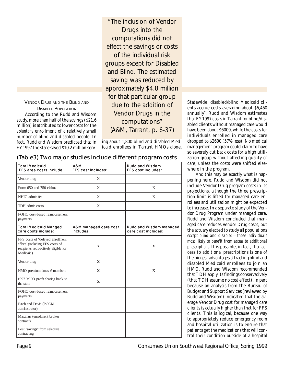#### VENDOR DRUG AND THE BLIND AND DISABLED POPULATION According to the Rudd and Wisdom study, more than half of the savings (\$21.6 million) is attributed to lower costs for the voluntary enrollment of a relatively small number of blind and disabled people. In fact, Rudd and Wisdom predicted that in FY 1997 the state saved \$10.2 million serv-

"The inclusion of Vendor Drugs into the computations did not effect the savings or costs of the individual risk groups except for Disabled and Blind. The estimated saving was reduced by approximately \$4.8 million for that particular group due to the addition of Vendor Drugs in the computations" (A&M, Tarrant, p. 6-37)

ing about 1,800 blind and disabled Medicaid enrollees in Tarrant HMOs alone.

|  |  | (Table3) Two major studies include different program costs |  |
|--|--|------------------------------------------------------------|--|

| <b>Total Medicaid</b><br>FFS area costs include:                                                                          | A&M<br>FFS cost includes:          | Rudd and Wisdom<br>FFS cost includes:          |
|---------------------------------------------------------------------------------------------------------------------------|------------------------------------|------------------------------------------------|
| Vendor drug                                                                                                               | X                                  |                                                |
| Form 650 and 750 claims                                                                                                   | X                                  | X                                              |
| NHIC admin fee                                                                                                            | X                                  | X                                              |
| TDH admin costs                                                                                                           | X                                  |                                                |
| FQHC cost-based reimbursement<br>payments                                                                                 |                                    |                                                |
| <b>Total Medicaid Manged</b><br>care costs include:                                                                       | A&M managed care cost<br>includes: | Rudd and Wisdom managed<br>care cost includes: |
| FFS costs of "delayed enrollment<br>effect" (including FFS costs of<br>recipients retroactively eligible for<br>Medicaid) | $\mathbf{X}$                       | $\mathbf{X}$                                   |
| Vendor drug                                                                                                               | $\mathbf{X}$                       |                                                |
| HMO premium times # members                                                                                               | X                                  | X                                              |
| 1997 MCO profit sharing back to<br>the state                                                                              | $\mathbf{X}$                       |                                                |
| FQHC cost-based reimbursement<br>payments                                                                                 |                                    |                                                |
| Birch and Davis (PCCM<br>administrator)                                                                                   |                                    |                                                |
| Maximus (enrollment broker<br>contract)                                                                                   |                                    |                                                |
| Lost "savings" from selective<br>contracting                                                                              |                                    |                                                |

Statewide, disabled/blind Medicaid clients accrue costs averaging about \$6,460 annually $^{\prime}$ . Rudd and Wisdom estimates that FY 1997 costs in Tarrant for blind/disabled clients without managed care would have been about \$6000, while the costs for individuals enrolled in managed care dropped to \$2600 (57% less). No medical management program could claim to have so severely cut back costs for a high utilization group without affecting quality of care, unless the costs were shifted elsewhere in the program.

And this may be exactly what is happening here. Rudd and Wisdom did not include Vendor Drug program costs in its projections, although the three prescription limit is lifted for managed care enrollees and utilization might be expected to increase. In a separate study of the Vendor Drug Program under managed care, Rudd and Wisdom concluded that managed care reduces Vendor Drug costs, but the actuary elected to study all populations except blind and disabled—those individuals most likely to benefit from access to additional prescriptions. It is possible, in fact, that access to additional prescriptions is one of the biggest advantages attracting blind and disabled Medicaid enrollees to join an HMO. Rudd and Wisdom recommended that TDH apply its findings conservatively (that TDH assume no cost effect), in part because an analysis from the Bureau of Budget and Support Services (reviewed by Rudd and Wisdom) indicated that the average Vendor Drug cost for managed care clients is actually higher than that for FFS clients. This is logical, because one way to appropriately reduce emergency room and hospital utilization is to ensure that patients get the medications that will control their condition outside of a hospital

Page 9 Consumers Union Southwest Regional Office, Spring 1999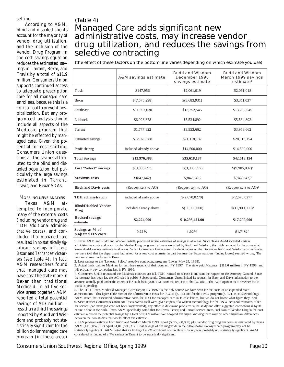#### setting.

According to A&M, blind and disabled clients account for the majority of vendor drug utilization, and the inclusion of the Vendor Drug Program in the cost savings equation reduces the estimated savings in Tarrant, Bexar, and Travis by a total of \$11.9 million. Consumers Union supports continued access to adequate prescription care for all managed care enrollees, because this is a critical tool to prevent hospitalization. But any program cost analysis should include all aspects of the Medicaid program that might be effected by managed care. Given the potential for cost shifting, Consumers Union questions all the savings attributed to the blind and disabled population, but particularly the large savings estimated in Tarrant, Travis, and Bexar SDAs.

#### MORE INCLUSIVE ANALYSIS

Texas A&M attempted to incorporate many of the external costs (including vendor drug and TDH additional administrative costs), and concluded that managed care resulted in no statistically significant savings in Travis, Bexar and Tarrant service areas (see table 4). In fact, A&M researchers found that managed care may have cost the state more in Bexar than traditional Medicaid. In all five service areas together, A&M reported a total potential savings of \$13 million less than a third the savings reported by Rudd and Wisdom and probably not statistically significant for the billion dollar managed care program (in these areas)

# (Table 4) Managed Care adds significant new administrative costs, may increase vendor drug utilization, and reduces the savings from selective contracting

(the effect of these factors on the bottom line varies depending on which estimate you use)

|                                        | A&M savings estimate   | Rudd and Wisdom<br>December 1998<br>savings estimate | Rudd and Wisdom<br>March 1999 savings<br>estimate <sup>1</sup> |
|----------------------------------------|------------------------|------------------------------------------------------|----------------------------------------------------------------|
| Travis                                 | \$147,956              | \$2,061,019                                          | \$2,061,018                                                    |
| Bexar                                  | \$(7,575,298)          | \$(3,683,931)                                        | \$3,311,037                                                    |
| Southeast                              | \$11,697,030           | \$13,252,545                                         | \$13,252,545                                                   |
| Lubbock                                | \$6,928,878            | \$5,534,892                                          | \$5,534,892                                                    |
| Tarrant                                | \$1,777,822            | \$3,953,662                                          | \$3,953,662                                                    |
| Estimated savings                      | \$12,976,388           | \$21,118,187                                         | \$28,113,154                                                   |
| Profit sharing                         | included already above | \$14,500,000                                         | \$14,500,000                                                   |
| <b>Total Savings</b>                   | \$12,976,388.          | \$35,618,187                                         | \$42,613,154                                                   |
| Lost "Select" savings                  | \$(9,905,097)          | \$(9,905,097)                                        | $$(9,905,097)^2$                                               |
| <b>Maximus</b> costs                   | \$(847,642)            | \$(847,642)                                          | $$(847,642)^{3}$                                               |
| <b>Birch and Davis costs</b>           | (Request sent to AG)   | (Request sent to AG)                                 | (Request sent to $AG$ ) <sup>4</sup>                           |
| <b>TDH</b> administration              | included already above | \$(2,670,0270)                                       | $$(2,670,027)^5$                                               |
| <b>Blind/Disabled Vendor</b><br>Drug   | included already above | \$(11,900,000)                                       | $$(11,900,000)^6$                                              |
| <b>Revised savings</b><br>estimate     | \$2,224,000            | \$10,295,421.00                                      | \$17,290,000                                                   |
| Savings as % of<br>projected FFS costs | 0.22%                  | 1.02%                                                | $$1.71\%$                                                      |

1. Texas A&M and Rudd and Wisdom initially produced similar estimates of savings in all areas. Since Texas A&M included certain administrative costs and costs for the Vendor Drug program that were excluded by Rudd and Wisdom, this might account for the somewhat lower A&M savings estimate in all areas. When Consumers Union asked for detail tables on the December Rudd and Wisdom cost estimates, we were told that the department had asked for a new cost estimate, in part because the Bexar numbers (finding losses) seemed wrong. The new run shows no losses in Bexar.

2. Lost savings to the "Lonestar Select" selective contracting program (Lewin, May 29, 1998).

3. Actual funds paid to Maximus for first three months of their contract, FY 1997. The state paid Maximus \$**113.6 million in** FY 1998, and will probably pay somewhat less in FY 1999.

4. Consumers Union requested the Maximux contract last fall. TDH refused to release it and sent the request to the Attorney General. Since the contract has been let, the AG ruled it public. Subsequently, Consumers Union limited its request for Birch and Davis information to the amounts actually paid under the contract for each fiscal year. TDH sent this request to the AG also. The AG's opinion as to whether this is public is pending.

5. The TDH "Texas Medicaid Managed Care Report FY 1997" is the only source we have seen for the costs of an expanded state administration. This figure is the sum of the administration costs for PCCM (p. 16) and for the HMO program (p. 17). In its Methodology, A&M stated that it included administrative costs for TDH for managed care in its calculations, but we do not know what figure they used. 6. Since neither Consumers Union nor Texas A&M itself were given copies of a written methodology for the R&W actuarial estimates of fee for service (had managed care not been implemented), any effort to determine problems in the study and offer suggested corrections is by its nature a shot in the dark. Texas A&M specifically noted that for Travis, Bexar, and Tarrant service areas, inclusion of Vendor Drug in the cost estimate reduced the potential savings by a total of \$11.9 million. We adopted this figure knowing there may be other significant differences between the two studies that would affect this estimate.

7. FFS program estimate from Rudd and Wisdom March 1999 report (\$895,538,800) plus vendor drug program costs as estimated by Texas A&M (\$115,057,517) equal \$1,010,596,317. Cost savings of this magnitude in the billion dollar managed care program may not be statistically significant.. A&M noted that its finding of a 2% additional cost in Bexar County was probably not statistically significant. A&M considered its finding of a 7% savings in Tarrant to be statistically significant.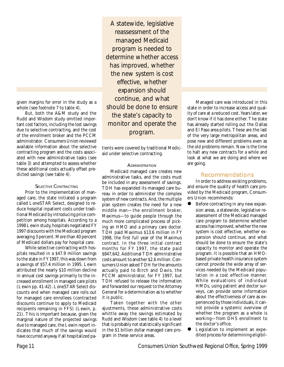given margins for error in the study as a whole (see footnote 7 to table 4).

But, both the A&M study and the Rudd and Wisdom study omitted important cost factors, including the lost savings due to selective contracting, and the cost of the enrollment broker and the PCCM administrator. Consumers Union reviewed available information about the selective contracting program and the costs associated with new administrative tasks (see table 3) and attempted to assess whether these additional costs actually offset predicted savings (see table 4).

#### SELECTIVE CONTRACTING

Prior to the implementation of managed care, the state initiated a program called LoneSTAR Select, designed to reduce hospital inpatient costs under traditional Medicaid by introducing price competition among hospitals. According to a 1998 Lewin study, hospitals negotiated FY 1997 discounts with the Medicaid program averaging 3 percent. More than 40 percent of Medicaid dollars pay for hospital care.

While selective contracting with hospitals resulted in a \$47.9 million savings to the state in FY 1997, this was down from a savings of \$57.4 million in 1995. Lewin attributed the nearly \$10 million decline in annual cost savings primarily to the increased enrollment in managed care pilots (Lewin pp. 41-42). LoneSTAR Select discounts end when managed care rolls out for managed care enrollees (contracted discounts continue to apply to Medicaid recipients remaining in FFS) (Lewin, p. 21). This is important because, given the marginal nature of the projected savings due to managed care, the Lewin report indicates that much of the savings would have occurred anyway if all hospitalized pa-

A statewide, legislative reassessment of the managed Medicaid program is needed to determine whether access has improved, whether the new system is cost effective, whether expansion should continue, and what should be done to ensure the state's capacity to monitor and operate the program.

tients were covered by traditional Medicaid under selective contracting.

#### **ADMINISTRATION**

Medicaid managed care creates new administrative tasks, and the costs must be included in any assessment of savings. TDH has expanded its managed care bureau in order to administer the complex system of new contracts. And, the multiple plan system creates the need for a new middle man—the enrollment broker, Maximus—to guide people through the much more complicated process of picking an HMO and a primary care doctor. TDH paid Maximus \$13.6 million in FY 1998, the first full year of the Maximus contract. In the three initial contract months for FY 1997, the state paid \$847,642. Additional TDH administrative costs amount to another \$2.6 million. Consumers Union asked TDH for the amounts actually paid to Birch and Davis, the PCCM administrator, for FY 1997, but TDH refused to release the information and forwarded our request to the Attorney General for a determination as to whether it is public.

Taken together with the other ajustments, these administrative costs whittle away the savings estimated by Rudd and Wisdom (see table 4) to a level that is probably not statistically significant in the \$1 billion dollar managed care program in these service areas.

Managed care was introduced in this state in order to increase access and quality of care at a reduced cost. Years later, we don't know if it has done either. The state has already started rolling out the Dallas and El Paso area pilots. These are the last of the very large metropolitan areas, and pose new and different problems even as the old problems remain. Now is the time to halt any new contracts for a while and look at what we are doing and where we are going.

#### Recommendations

In order to address existing problems, and ensure the quality of health care provided by the Medicaid program, Consumers Union recommends:

- Before contracting in any new expansion areas, a statewide, legislative reassessment of the Medicaid managed care program to determine whether access has improved, whether the new system is cost effective, whether expansion should continue, and what should be done to ensure the state's capacity to monitor and operate the program. It is possible that an HMObased private health insurance system cannot provide the wide array of services needed by the Medicaid population in a cost effective manner. While evaluations of individual HMOs, using patient and doctor surveys, can provide some information about the effectiveness of care as experienced by those individuals, it cannot provide a systemic overview of whether the program as a whole is working—from DHS enrollment to the doctor's office.
- Legislation to implement an expedited process for determining eligibil-